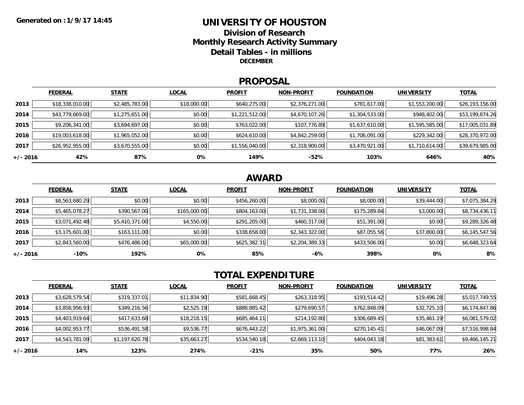### **UNIVERSITY OF HOUSTONDivision of ResearchMonthly Research Activity Summary Detail Tables - in millions DECEMBER**

### **PROPOSAL**

|            | <b>FEDERAL</b>  | <b>STATE</b>   | <b>LOCAL</b> | <b>PROFIT</b>  | <b>NON-PROFIT</b> | <b>FOUNDATION</b> | <b>UNIVERSITY</b> | <b>TOTAL</b>    |
|------------|-----------------|----------------|--------------|----------------|-------------------|-------------------|-------------------|-----------------|
| 2013       | \$18,338,010.00 | \$2,485,783.00 | \$18,000.00  | \$640,275.00   | \$2,376,271.00    | \$781,617.00      | \$1,553,200.00    | \$26,193,156.00 |
| 2014       | \$43,779,669.00 | \$1,275,651.00 | \$0.00       | \$1,221,512.00 | \$4,670,107.26    | \$1,304,533.00    | \$948,402.00      | \$53,199,874.26 |
| 2015       | \$9,206,341.00  | \$3,694,697.00 | \$0.00       | \$763,022.00   | \$107,776.89      | \$1,637,610.00    | \$1,595,585.00    | \$17,005,031.89 |
| 2016       | \$19,003,618.00 | \$1,965,052.00 | \$0.00       | \$624,610.00   | \$4,842,259.00    | \$1,706,091.00    | \$229,342.00      | \$28,370,972.00 |
| 2017       | \$26,952,955.00 | \$3,670,555.00 | \$0.00       | \$1,556,040.00 | \$2,318,900.00    | \$3,470,921.00    | \$1,710,614.00    | \$39,679,985.00 |
| $+/- 2016$ | 42%             | 87%            | 0%           | 149%           | $-52%$            | 103%              | 646%              | 40%             |

## **AWARD**

|            | <b>FEDERAL</b> | <b>STATE</b>   | <b>LOCAL</b> | <b>PROFIT</b> | <b>NON-PROFIT</b> | <b>FOUNDATION</b> | <b>UNIVERSITY</b> | <b>TOTAL</b>   |
|------------|----------------|----------------|--------------|---------------|-------------------|-------------------|-------------------|----------------|
| 2013       | \$6,563,680.29 | \$0.00         | \$0.00       | \$456,260.00  | \$8,000.00        | \$8,000.00        | \$39,444.00       | \$7,075,384.29 |
| 2014       | \$5,465,078.27 | \$390,567.00   | \$165,000.00 | \$804,163.00  | \$1,731,338.00    | \$175,289.84      | \$3,000.00        | \$8,734,436.11 |
| 2015       | \$3,071,492.48 | \$5,410,371.00 | \$4,550.00   | \$291,205.00  | \$460,317.00      | \$51,391.00       | \$0.00            | \$9,289,326.48 |
| 2016       | \$3,175,601.00 | \$163,111.00   | \$0.00       | \$338,658.00  | \$2,343,322.00    | \$87,055.56       | \$37,800.00       | \$6,145,547.56 |
| 2017       | \$2,843,560.00 | \$476,486.00   | \$65,000.00  | \$625,382.31  | \$2,204,389.33    | \$433,506.00      | \$0.00            | \$6,648,323.64 |
| $+/- 2016$ | $-10%$         | 192%           | 0%           | 85%           | $-6%$             | 398%              | 0%                | 8%             |

# **TOTAL EXPENDITURE**

|          | <b>FEDERAL</b> | <b>STATE</b>   | <b>LOCAL</b> | <b>PROFIT</b> | <b>NON-PROFIT</b> | <b>FOUNDATION</b> | <b>UNIVERSITY</b> | <b>TOTAL</b>   |
|----------|----------------|----------------|--------------|---------------|-------------------|-------------------|-------------------|----------------|
| 2013     | \$3,628,579.54 | \$319,337.01   | \$11,834.90  | \$581,668.45  | \$263,318.95      | \$193,514.42      | \$19,496.28       | \$5,017,749.55 |
| 2014     | \$3,858,956.93 | \$349,216.56   | \$2,525.19   | \$888,885.42  | \$279,690.57      | \$762,848.09      | \$32,725.10       | \$6,174,847.86 |
| 2015     | \$4,403,919.64 | \$417,633.68   | \$18,218.15  | \$685,464.11  | \$214,192.80      | \$306,689.45      | \$35,461.19       | \$6,081,579.02 |
| 2016     | \$4,002,953.77 | \$536,491.58   | \$9,536.77   | \$676,443.22  | \$1,975,361.00    | \$270,145.41      | \$46,067.09       | \$7,516,998.84 |
| 2017     | \$4,543,781.09 | \$1,197,620.78 | \$35,663.27  | \$534,540.18  | \$2,669,113.10    | \$404,043.18      | \$81,383.61       | \$9,466,145.21 |
| +/- 2016 | 14%            | 123%           | 274%         | $-21%$        | 35%               | 50%               | 77%               | 26%            |